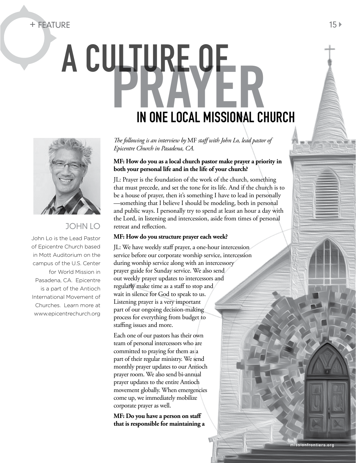## + Feature 15

# A CULTURE OF In One Local Missional Church



### John Lo

John Lo is the Lead Pastor of Epicentre Church based in Mott Auditorium on the campus of the U.S. Center for World Mission in Pasadena, CA. Epicentre is a part of the Antioch International Movement of Churches. Learn more at www.epicentrechurch.org *The following is an interview by* MF *staff with John Lo, lead pastor of Epicentre Church in Pasadena, CA.* 

#### **MF: How do you as a local church pastor make prayer a priority in both your personal life and in the life of your church?**

JL: Prayer is the foundation of the work of the church, something that must precede, and set the tone for its life. And if the church is to be a house of prayer, then it's something I have to lead in personally —something that I believe I should be modeling, both in personal and public ways. I personally try to spend at least an hour a day with the Lord, in listening and intercession, aside from times of personal retreat and reflection.

#### **MF: How do you structure prayer each week?**

JL: We have weekly staff prayer, a one-hour intercession service before our corporate worship service, intercession during worship service along with an intercessory prayer guide for Sunday service. We also send out weekly prayer updates to intercessors and regularly make time as a staff to stop and wait in silence for God to speak to us. Listening prayer is a very important part of our ongoing decision-making process for everything from budget to staffing issues and more.

Each one of our pastors has their own team of personal intercessors who are committed to praying for them as a part of their regular ministry. We send monthly prayer updates to our Antioch prayer room. We also send bi-annual prayer updates to the entire Antioch movement globally. When emergencies come up, we immediately mobilize corporate prayer as well.

**MF: Do you have a person on staff that is responsible for maintaining a** 

V3